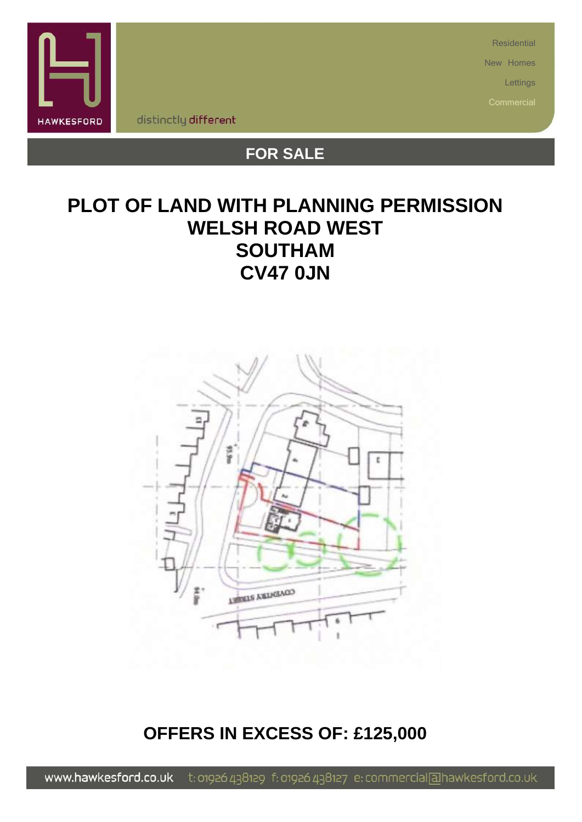

**Residential** 

New Homes

Lettings

distinctly different

# **FOR SALE**

# **PLOT OF LAND WITH PLANNING PERMISSION WELSH ROAD WEST SOUTHAM CV47 0JN**



## **OFFERS IN EXCESS OF: £125,000**

t: 01926 438129 f: 01926 438127 e: commercial[alhawkesford.co.uk www.hawkesford.co.uk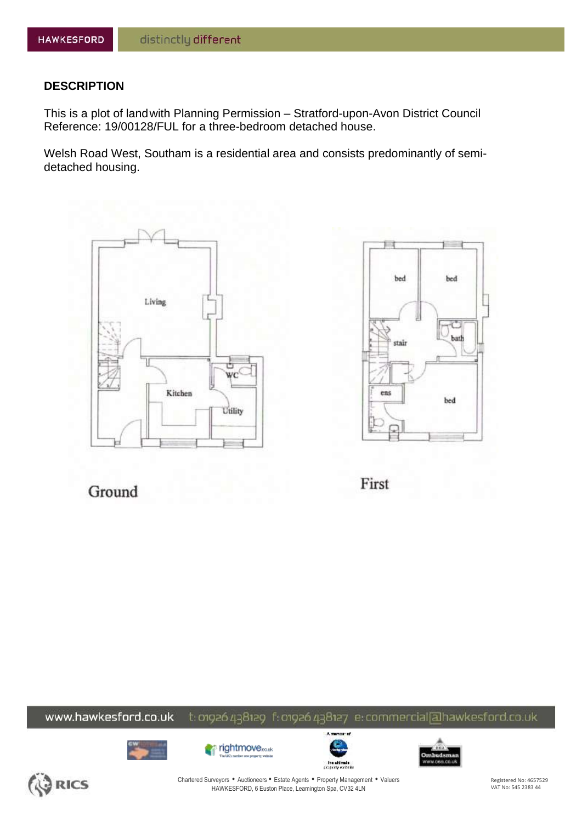## **DESCRIPTION**

This is a plot of landwith Planning Permission – Stratford-upon-Avon District Council Reference: 19/00128/FUL for a three-bedroom detached house.

Welsh Road West, Southam is a residential area and consists predominantly of semidetached housing.





Ground

First

### www.hawkesford.co.uk t: 01926 438129 f: 01926 438127 e: commercial[alhawkesford.co.uk











Chartered Surveyors • Auctioneers • Estate Agents • Property Management • Valuers HAWKESFORD, 6 Euston Place, Leamington Spa, CV32 4LN

Registered No: 4657529 VAT No: 545 2383 44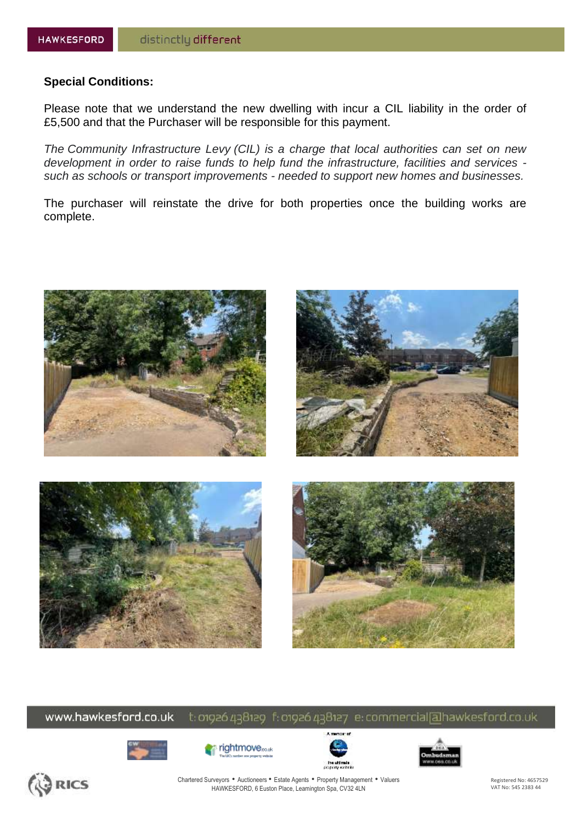## **Special Conditions:**

Please note that we understand the new dwelling with incur a CIL liability in the order of £5,500 and that the Purchaser will be responsible for this payment.

*The Community Infrastructure Levy (CIL) is a charge that local authorities can set on new development in order to raise funds to help fund the infrastructure, facilities and services such as schools or transport improvements - needed to support new homes and businesses.*

The purchaser will reinstate the drive for both properties once the building works are complete.



www.hawkesford.co.uk t: 01926 438129 f: 01926 438127 e: commercial[alhawkesford.co.uk











Chartered Surveyors • Auctioneers • Estate Agents • Property Management • Valuers HAWKESFORD, 6 Euston Place, Leamington Spa, CV32 4LN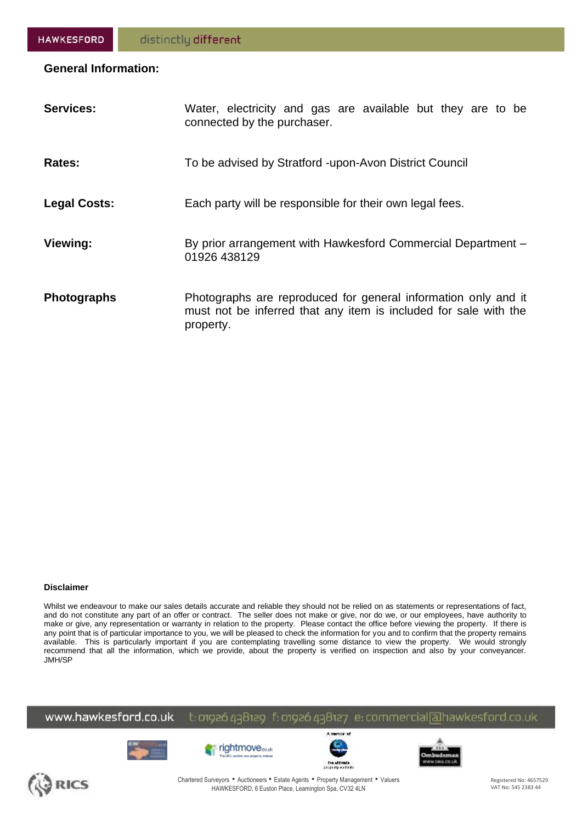## **General Information:**

| <b>Services:</b>    | Water, electricity and gas are available but they are to be<br>connected by the purchaser.                                                      |
|---------------------|-------------------------------------------------------------------------------------------------------------------------------------------------|
| Rates:              | To be advised by Stratford -upon-Avon District Council                                                                                          |
| <b>Legal Costs:</b> | Each party will be responsible for their own legal fees.                                                                                        |
| Viewing:            | By prior arrangement with Hawkesford Commercial Department -<br>01926 438129                                                                    |
| <b>Photographs</b>  | Photographs are reproduced for general information only and it<br>must not be inferred that any item is included for sale with the<br>property. |

### **Disclaimer**

Whilst we endeavour to make our sales details accurate and reliable they should not be relied on as statements or representations of fact, and do not constitute any part of an offer or contract. The seller does not make or give, nor do we, or our employees, have authority to make or give, any representation or warranty in relation to the property. Please contact the office before viewing the property. If there is any point that is of particular importance to you, we will be pleased to check the information for you and to confirm that the property remains available. This is particularly important if you are contemplating travelling some distance to view the property. We would strongly recommend that all the information, which we provide, about the property is verified on inspection and also by your conveyancer. JMH/SP

www.hawkesford.co.uk t: 01926 438129 f: 01926 438127 e: commercial[alhawkesford.co.uk











Chartered Surveyors • Auctioneers • Estate Agents • Property Management • Valuers HAWKESFORD, 6 Euston Place, Leamington Spa, CV32 4LN